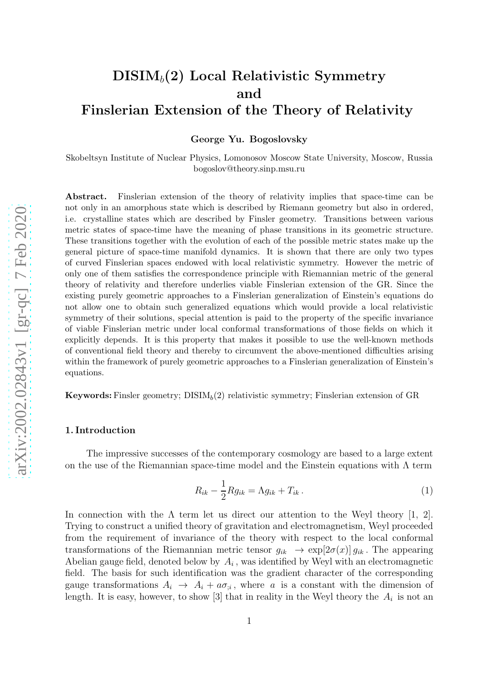# $\mathrm{DISIM}_b(2)$  Local Relativistic Symmetry and Finslerian Extension of the Theory of Relativity

George Yu. Bogoslovsky

Skobeltsyn Institute of Nuclear Physics, Lomonosov Moscow State University, Moscow, Russia bogoslov@theory.sinp.msu.ru

Abstract. Finslerian extension of the theory of relativity implies that space-time can be not only in an amorphous state which is described by Riemann geometry but also in ordered, i.e. crystalline states which are described by Finsler geometry. Transitions between various metric states of space-time have the meaning of phase transitions in its geometric structure. These transitions together with the evolution of each of the possible metric states make up the general picture of space-time manifold dynamics. It is shown that there are only two types of curved Finslerian spaces endowed with local relativistic symmetry. However the metric of only one of them satisfies the correspondence principle with Riemannian metric of the general theory of relativity and therefore underlies viable Finslerian extension of the GR. Since the existing purely geometric approaches to a Finslerian generalization of Einstein's equations do not allow one to obtain such generalized equations which would provide a local relativistic symmetry of their solutions, special attention is paid to the property of the specific invariance of viable Finslerian metric under local conformal transformations of those fields on which it explicitly depends. It is this property that makes it possible to use the well-known methods of conventional field theory and thereby to circumvent the above-mentioned difficulties arising within the framework of purely geometric approaches to a Finslerian generalization of Einstein's equations.

**Keywords:** Finsler geometry;  $DISIM_b(2)$  relativistic symmetry; Finslerian extension of GR

#### 1. Introduction

The impressive successes of the contemporary cosmology are based to a large extent on the use of the Riemannian space-time model and the Einstein equations with  $\Lambda$  term

$$
R_{ik} - \frac{1}{2} R g_{ik} = \Lambda g_{ik} + T_{ik} \,. \tag{1}
$$

In connection with the  $\Lambda$  term let us direct our attention to the Weyl theory [1, 2]. Trying to construct a unified theory of gravitation and electromagnetism, Weyl proceeded from the requirement of invariance of the theory with respect to the local conformal transformations of the Riemannian metric tensor  $g_{ik} \to \exp[2\sigma(x)] g_{ik}$ . The appearing Abelian gauge field, denoted below by  $A_i$ , was identified by Weyl with an electromagnetic field. The basis for such identification was the gradient character of the corresponding gauge transformations  $A_i \rightarrow A_i + a\sigma_{i,i}$ , where a is a constant with the dimension of length. It is easy, however, to show [3] that in reality in the Weyl theory the  $A_i$  is not an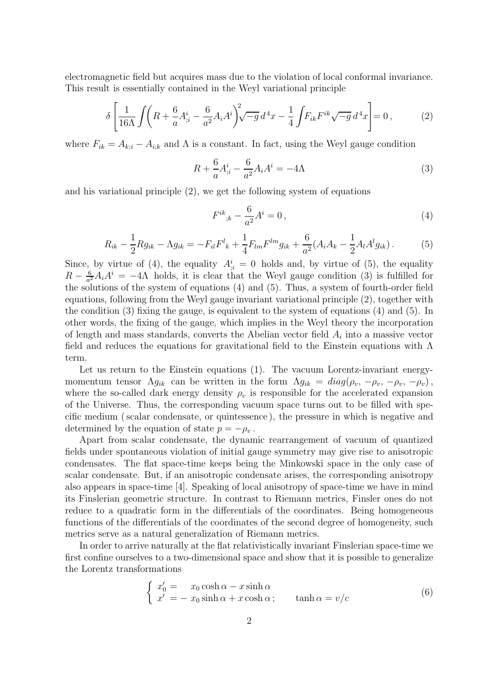electromagnetic field but acquires mass due to the violation of local conformal invariance. This result is essentially contained in the Weyl variational principle

$$
\delta \left[ \frac{1}{16\Lambda} \int \left( R + \frac{6}{a} A_{;i}^{i} - \frac{6}{a^{2}} A_{i} A^{i} \right) \sqrt[2]{-g} d^{4} x - \frac{1}{4} \int F_{ik} F^{ik} \sqrt{-g} d^{4} x \right] = 0, \quad (2)
$$

where  $F_{ik} = A_{k,i} - A_{i,k}$  and  $\Lambda$  is a constant. In fact, using the Weyl gauge condition

$$
R + \frac{6}{a}A^{i}_{;i} - \frac{6}{a^{2}}A_{i}A^{i} = -4\Lambda
$$
\n(3)

and his variational principle (2), we get the following system of equations

$$
F^{ik}_{\ ;k} - \frac{6}{a^2}A^i = 0 \,, \tag{4}
$$

$$
R_{ik} - \frac{1}{2} R g_{ik} - \Lambda g_{ik} = -F_{il} F^{l}_{\ k} + \frac{1}{4} F_{lm} F^{lm} g_{ik} + \frac{6}{a^2} (A_i A_k - \frac{1}{2} A_l A^l g_{ik}). \tag{5}
$$

Since, by virtue of (4), the equality  $A_{i,i}^i = 0$  holds and, by virtue of (5), the equality  $R-\frac{6}{a^2}$  $\frac{6}{a^2}A_iA^i = -4\Lambda$  holds, it is clear that the Weyl gauge condition (3) is fulfilled for the solutions of the system of equations (4) and (5). Thus, a system of fourth-order field equations, following from the Weyl gauge invariant variational principle (2), together with the condition (3) fixing the gauge, is equivalent to the system of equations (4) and (5). In other words, the fixing of the gauge, which implies in the Weyl theory the incorporation of length and mass standards, converts the Abelian vector field  $A_i$  into a massive vector field and reduces the equations for gravitational field to the Einstein equations with  $\Lambda$ term.

Let us return to the Einstein equations (1). The vacuum Lorentz-invariant energymomentum tensor  $\Lambda g_{ik}$  can be written in the form  $\Lambda g_{ik} = diag(\rho_v, -\rho_v, -\rho_v, -\rho_v)$ , where the so-called dark energy density  $\rho_v$  is responsible for the accelerated expansion of the Universe. Thus, the corresponding vacuum space turns out to be filled with specific medium ( scalar condensate, or quintessence ), the pressure in which is negative and determined by the equation of state  $p = -\rho_v$ .

Apart from scalar condensate, the dynamic rearrangement of vacuum of quantized fields under spontaneous violation of initial gauge symmetry may give rise to anisotropic condensates. The flat space-time keeps being the Minkowski space in the only case of scalar condensate. But, if an anisotropic condensate arises, the corresponding anisotropy also appears in space-time [4]. Speaking of local anisotropy of space-time we have in mind its Finslerian geometric structure. In contrast to Riemann metrics, Finsler ones do not reduce to a quadratic form in the differentials of the coordinates. Being homogeneous functions of the differentials of the coordinates of the second degree of homogeneity, such metrics serve as a natural generalization of Riemann metrics.

In order to arrive naturally at the flat relativistically invariant Finslerian space-time we first confine ourselves to a two-dimensional space and show that it is possible to generalize the Lorentz transformations

$$
\begin{cases}\nx'_0 = x_0 \cosh \alpha - x \sinh \alpha \\
x' = -x_0 \sinh \alpha + x \cosh \alpha;\n\end{cases}\n\tanh \alpha = v/c
$$
\n(6)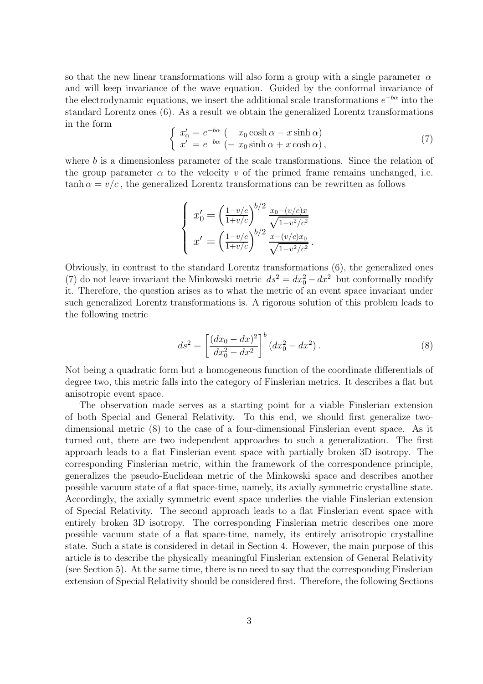so that the new linear transformations will also form a group with a single parameter  $\alpha$ and will keep invariance of the wave equation. Guided by the conformal invariance of the electrodynamic equations, we insert the additional scale transformations  $e^{-b\alpha}$  into the standard Lorentz ones (6). As a result we obtain the generalized Lorentz transformations in the form

$$
\begin{cases}\nx'_0 = e^{-b\alpha} \left( x_0 \cosh \alpha - x \sinh \alpha \right) \\
x' = e^{-b\alpha} \left( -x_0 \sinh \alpha + x \cosh \alpha \right),\n\end{cases} \tag{7}
$$

where b is a dimensionless parameter of the scale transformations. Since the relation of the group parameter  $\alpha$  to the velocity v of the primed frame remains unchanged, i.e.  $tanh \alpha = v/c$ , the generalized Lorentz transformations can be rewritten as follows

$$
\begin{cases}\nx_0' = \left(\frac{1 - v/c}{1 + v/c}\right)^{b/2} \frac{x_0 - (v/c)x}{\sqrt{1 - v^2/c^2}} \\
x' = \left(\frac{1 - v/c}{1 + v/c}\right)^{b/2} \frac{x - (v/c)x_0}{\sqrt{1 - v^2/c^2}}.\n\end{cases}
$$

Obviously, in contrast to the standard Lorentz transformations (6), the generalized ones (7) do not leave invariant the Minkowski metric  $ds^2 = dx_0^2 - dx^2$  but conformally modify it. Therefore, the question arises as to what the metric of an event space invariant under such generalized Lorentz transformations is. A rigorous solution of this problem leads to the following metric

$$
ds^{2} = \left[\frac{(dx_{0} - dx)^{2}}{dx_{0}^{2} - dx^{2}}\right]^{b} (dx_{0}^{2} - dx^{2}).
$$
\n(8)

Not being a quadratic form but a homogeneous function of the coordinate differentials of degree two, this metric falls into the category of Finslerian metrics. It describes a flat but anisotropic event space.

The observation made serves as a starting point for a viable Finslerian extension of both Special and General Relativity. To this end, we should first generalize twodimensional metric (8) to the case of a four-dimensional Finslerian event space. As it turned out, there are two independent approaches to such a generalization. The first approach leads to a flat Finslerian event space with partially broken 3D isotropy. The corresponding Finslerian metric, within the framework of the correspondence principle, generalizes the pseudo-Euclidean metric of the Minkowski space and describes another possible vacuum state of a flat space-time, namely, its axially symmetric crystalline state. Accordingly, the axially symmetric event space underlies the viable Finslerian extension of Special Relativity. The second approach leads to a flat Finslerian event space with entirely broken 3D isotropy. The corresponding Finslerian metric describes one more possible vacuum state of a flat space-time, namely, its entirely anisotropic crystalline state. Such a state is considered in detail in Section 4. However, the main purpose of this article is to describe the physically meaningful Finslerian extension of General Relativity (see Section 5). At the same time, there is no need to say that the corresponding Finslerian extension of Special Relativity should be considered first. Therefore, the following Sections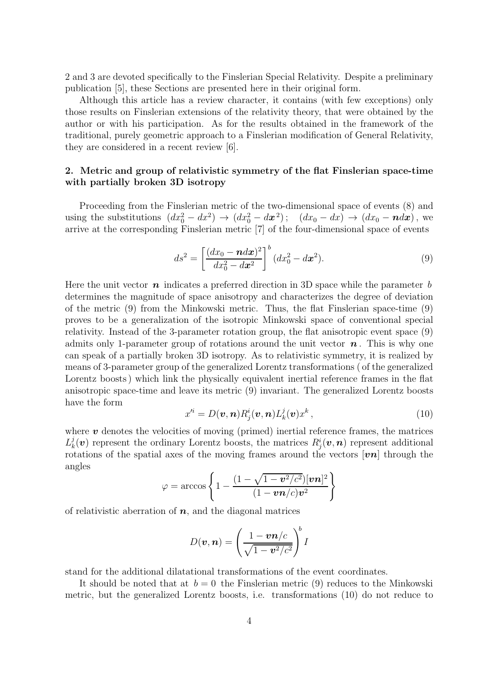2 and 3 are devoted specifically to the Finslerian Special Relativity. Despite a preliminary publication [5], these Sections are presented here in their original form.

Although this article has a review character, it contains (with few exceptions) only those results on Finslerian extensions of the relativity theory, that were obtained by the author or with his participation. As for the results obtained in the framework of the traditional, purely geometric approach to a Finslerian modification of General Relativity, they are considered in a recent review [6].

## 2. Metric and group of relativistic symmetry of the flat Finslerian space-time with partially broken 3D isotropy

Proceeding from the Finslerian metric of the two-dimensional space of events (8) and using the substitutions  $(dx_0^2 - dx^2) \rightarrow (dx_0^2 - dx^2);$   $(dx_0 - dx) \rightarrow (dx_0 - \eta dx)$ , we arrive at the corresponding Finslerian metric [7] of the four-dimensional space of events

$$
ds^{2} = \left[\frac{(dx_{0} - \mathbf{n}d\mathbf{x})^{2}}{dx_{0}^{2} - d\mathbf{x}^{2}}\right]^{b} (dx_{0}^{2} - d\mathbf{x}^{2}).
$$
\n(9)

Here the unit vector  $\boldsymbol{n}$  indicates a preferred direction in 3D space while the parameter b determines the magnitude of space anisotropy and characterizes the degree of deviation of the metric (9) from the Minkowski metric. Thus, the flat Finslerian space-time (9) proves to be a generalization of the isotropic Minkowski space of conventional special relativity. Instead of the 3-parameter rotation group, the flat anisotropic event space (9) admits only 1-parameter group of rotations around the unit vector  $n$ . This is why one can speak of a partially broken 3D isotropy. As to relativistic symmetry, it is realized by means of 3-parameter group of the generalized Lorentz transformations ( of the generalized Lorentz boosts ) which link the physically equivalent inertial reference frames in the flat anisotropic space-time and leave its metric (9) invariant. The generalized Lorentz boosts have the form

$$
x'^{i} = D(\boldsymbol{v}, \boldsymbol{n}) R_{j}^{i}(\boldsymbol{v}, \boldsymbol{n}) L_{k}^{j}(\boldsymbol{v}) x^{k}, \qquad (10)
$$

where  $\boldsymbol{v}$  denotes the velocities of moving (primed) inertial reference frames, the matrices  $L^j_k$  $k(\boldsymbol{v})$  represent the ordinary Lorentz boosts, the matrices  $R_j^i(\boldsymbol{v}, \boldsymbol{n})$  represent additional rotations of the spatial axes of the moving frames around the vectors  $|\mathbf{v}\mathbf{n}|$  through the angles

$$
\varphi = \arccos\left\{1 - \frac{(1 - \sqrt{1 - v^2/c^2})[v\mathbf{n}]^2}{(1 - v\mathbf{n}/c)v^2}\right\}
$$

of relativistic aberration of  $n$ , and the diagonal matrices

$$
D(\boldsymbol{v}, \boldsymbol{n}) = \left(\frac{1 - \boldsymbol{v}\boldsymbol{n}/c}{\sqrt{1 - \boldsymbol{v}^2/c^2}}\right)^b I
$$

stand for the additional dilatational transformations of the event coordinates.

It should be noted that at  $b = 0$  the Finslerian metric (9) reduces to the Minkowski metric, but the generalized Lorentz boosts, i.e. transformations (10) do not reduce to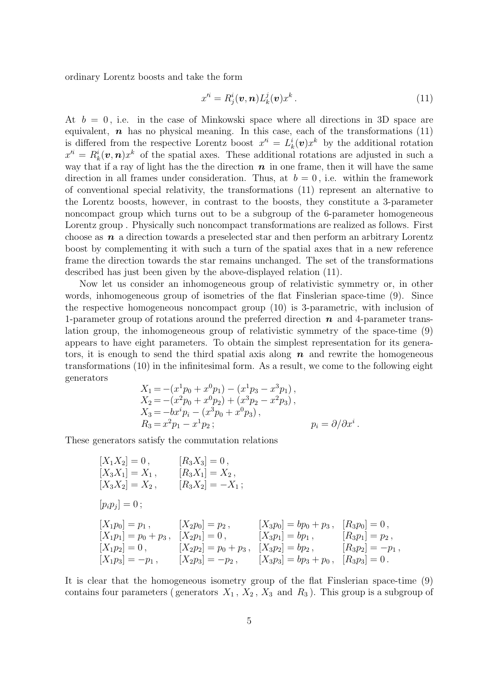ordinary Lorentz boosts and take the form

$$
x'^{i} = R^{i}_{j}(\boldsymbol{v}, \boldsymbol{n}) L^{j}_{k}(\boldsymbol{v}) x^{k} . \qquad (11)
$$

At  $b = 0$ , i.e. in the case of Minkowski space where all directions in 3D space are equivalent,  $\boldsymbol{n}$  has no physical meaning. In this case, each of the transformations (11) is differed from the respective Lorentz boost  $x^{i} = L_k^{i}(v)x^k$  by the additional rotation  $x^{\prime i} = R_k^i(\boldsymbol{v}, \boldsymbol{n}) x^k$  of the spatial axes. These additional rotations are adjusted in such a way that if a ray of light has the the direction  $n$  in one frame, then it will have the same direction in all frames under consideration. Thus, at  $b = 0$ , i.e. within the framework of conventional special relativity, the transformations (11) represent an alternative to the Lorentz boosts, however, in contrast to the boosts, they constitute a 3-parameter noncompact group which turns out to be a subgroup of the 6-parameter homogeneous Lorentz group . Physically such noncompact transformations are realized as follows. First choose as  $n$  a direction towards a preselected star and then perform an arbitrary Lorentz boost by complementing it with such a turn of the spatial axes that in a new reference frame the direction towards the star remains unchanged. The set of the transformations described has just been given by the above-displayed relation (11).

Now let us consider an inhomogeneous group of relativistic symmetry or, in other words, inhomogeneous group of isometries of the flat Finslerian space-time (9). Since the respective homogeneous noncompact group (10) is 3-parametric, with inclusion of 1-parameter group of rotations around the preferred direction  $n$  and 4-parameter translation group, the inhomogeneous group of relativistic symmetry of the space-time (9) appears to have eight parameters. To obtain the simplest representation for its generators, it is enough to send the third spatial axis along  $n$  and rewrite the homogeneous transformations (10) in the infinitesimal form. As a result, we come to the following eight generators

$$
X_1 = -(x^1 p_0 + x^0 p_1) - (x^1 p_3 - x^3 p_1),
$$
  
\n
$$
X_2 = -(x^2 p_0 + x^0 p_2) + (x^3 p_2 - x^2 p_3),
$$
  
\n
$$
X_3 = -bx^i p_i - (x^3 p_0 + x^0 p_3),
$$
  
\n
$$
R_3 = x^2 p_1 - x^1 p_2;
$$
  
\n
$$
p_i = \partial/\partial x^i.
$$

These generators satisfy the commutation relations

$$
[X_1X_2] = 0, \t [R_3X_3] = 0, \n[X_3X_1] = X_1, \t [R_3X_1] = X_2, \n[X_3X_2] = X_2, \t [R_3X_2] = -X_1; \n[p_ip_j] = 0; \n[X_1p_0] = p_1, \t [X_2p_0] = p_2, \t [X_3p_0] = bp_0 + p_3, \t [R_3p_0] = 0, \n[X_1p_1] = p_0 + p_3, \t [X_2p_1] = 0, \t [X_3p_1] = bp_1, \t [R_3p_1] = p_2, \n[X_1p_2] = 0, \t [X_2p_2] = p_0 + p_3, \t [X_3p_2] = bp_2, \t [R_3p_2] = -p_1, \n[X_1p_3] = -p_1, \t [X_2p_3] = -p_2, \t [X_3p_3] = bp_3 + p_0, \t [R_3p_3] = 0.
$$

It is clear that the homogeneous isometry group of the flat Finslerian space-time (9) contains four parameters (generators  $X_1$ ,  $X_2$ ,  $X_3$  and  $R_3$ ). This group is a subgroup of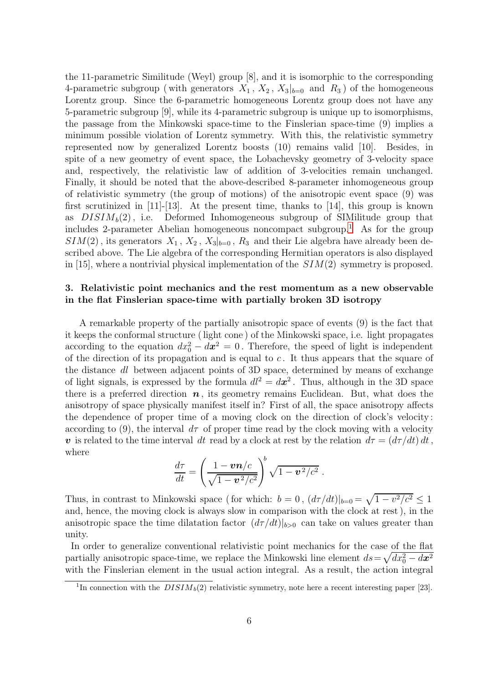the 11-parametric Similitude (Weyl) group [8], and it is isomorphic to the corresponding 4-parametric subgroup (with generators  $X_1, X_2, X_3|_{b=0}$  and  $R_3$ ) of the homogeneous Lorentz group. Since the 6-parametric homogeneous Lorentz group does not have any 5-parametric subgroup [9], while its 4-parametric subgroup is unique up to isomorphisms, the passage from the Minkowski space-time to the Finslerian space-time (9) implies a minimum possible violation of Lorentz symmetry. With this, the relativistic symmetry represented now by generalized Lorentz boosts (10) remains valid [10]. Besides, in spite of a new geometry of event space, the Lobachevsky geometry of 3-velocity space and, respectively, the relativistic law of addition of 3-velocities remain unchanged. Finally, it should be noted that the above-described 8-parameter inhomogeneous group of relativistic symmetry (the group of motions) of the anisotropic event space (9) was first scrutinized in  $[11]-[13]$ . At the present time, thanks to  $[14]$ , this group is known as  $DISIM<sub>b</sub>(2)$ , i.e. Deformed Inhomogeneous subgroup of SIMilitude group that includes 2-parameter Abelian homogeneous noncompact subgroup. [1](#page-5-0) As for the group  $SIM(2)$ , its generators  $X_1, X_2, X_3|_{b=0}, R_3$  and their Lie algebra have already been described above. The Lie algebra of the corresponding Hermitian operators is also displayed in [15], where a nontrivial physical implementation of the  $SIM(2)$  symmetry is proposed.

## 3. Relativistic point mechanics and the rest momentum as a new observable in the flat Finslerian space-time with partially broken 3D isotropy

A remarkable property of the partially anisotropic space of events (9) is the fact that it keeps the conformal structure ( light cone ) of the Minkowski space, i.e. light propagates according to the equation  $dx_0^2 - dx^2 = 0$ . Therefore, the speed of light is independent of the direction of its propagation and is equal to  $c$ . It thus appears that the square of the distance dl between adjacent points of 3D space, determined by means of exchange of light signals, is expressed by the formula  $dl^2 = d\mathbf{x}^2$ . Thus, although in the 3D space there is a preferred direction  $n$ , its geometry remains Euclidean. But, what does the anisotropy of space physically manifest itself in? First of all, the space anisotropy affects the dependence of proper time of a moving clock on the direction of clock's velocity : according to (9), the interval  $d\tau$  of proper time read by the clock moving with a velocity v is related to the time interval dt read by a clock at rest by the relation  $d\tau = (d\tau/dt) dt$ , where

$$
\frac{d\tau}{dt} = \left(\frac{1 - \nu n/c}{\sqrt{1 - v^2/c^2}}\right)^b \sqrt{1 - v^2/c^2}.
$$

Thus, in contrast to Minkowski space (for which:  $b = 0$ ,  $\frac{d\tau}{dt}|_{b=0} = \sqrt{1 - v^2/c^2} \leq 1$ and, hence, the moving clock is always slow in comparison with the clock at rest ), in the anisotropic space the time dilatation factor  $(d\tau/dt)|_{b>0}$  can take on values greater than unity.

In order to generalize conventional relativistic point mechanics for the case of the flat partially anisotropic space-time, we replace the Minkowski line element  $ds = \sqrt{dx_0^2 - dx^2}$ with the Finslerian element in the usual action integral. As a result, the action integral

<span id="page-5-0"></span><sup>&</sup>lt;sup>1</sup>In connection with the  $DISIM_b(2)$  relativistic symmetry, note here a recent interesting paper [23].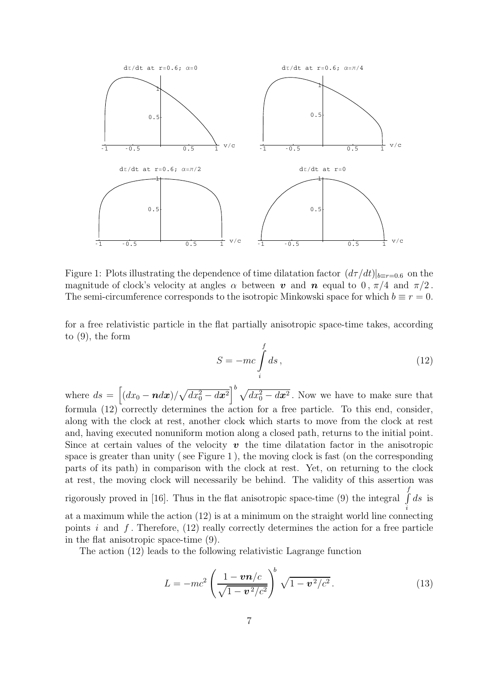

Figure 1: Plots illustrating the dependence of time dilatation factor  $(d\tau/dt)|_{b=r=0.6}$  on the magnitude of clock's velocity at angles  $\alpha$  between v and n equal to 0,  $\pi/4$  and  $\pi/2$ . The semi-circumference corresponds to the isotropic Minkowski space for which  $b \equiv r = 0$ .

for a free relativistic particle in the flat partially anisotropic space-time takes, according to (9), the form

$$
S = -mc \int_{i}^{f} ds , \qquad (12)
$$

where  $ds = \left[ (dx_0 - \boldsymbol{n} dx) / \sqrt{dx_0^2 - dx^2} \right]^b \sqrt{dx_0^2 - dx^2}$ . Now we have to make sure that formula (12) correctly determines the action for a free particle. To this end, consider, along with the clock at rest, another clock which starts to move from the clock at rest and, having executed nonuniform motion along a closed path, returns to the initial point. Since at certain values of the velocity  $\boldsymbol{v}$  the time dilatation factor in the anisotropic space is greater than unity ( see Figure 1 ), the moving clock is fast (on the corresponding parts of its path) in comparison with the clock at rest. Yet, on returning to the clock at rest, the moving clock will necessarily be behind. The validity of this assertion was rigorously proved in [16]. Thus in the flat anisotropic space-time (9) the integral f  $\int ds$  is i at a maximum while the action (12) is at a minimum on the straight world line connecting points i and  $f$ . Therefore, (12) really correctly determines the action for a free particle in the flat anisotropic space-time (9).

The action (12) leads to the following relativistic Lagrange function

$$
L = -mc^2 \left(\frac{1 - \mathbf{v}\mathbf{n}/c}{\sqrt{1 - \mathbf{v}^2/c^2}}\right)^b \sqrt{1 - \mathbf{v}^2/c^2}.
$$
 (13)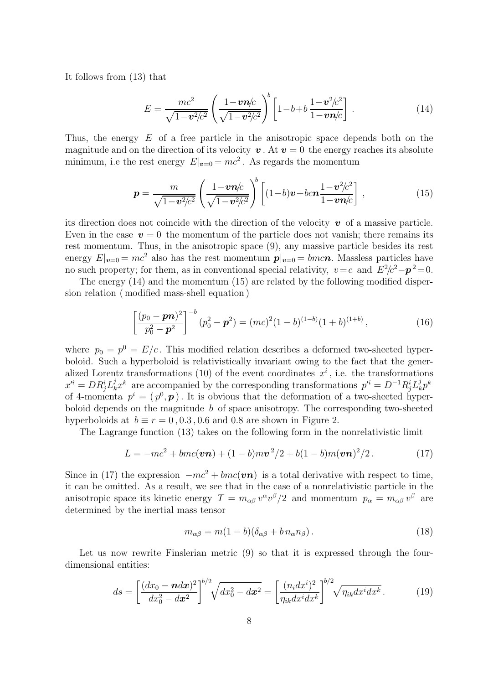It follows from (13) that

$$
E = \frac{mc^2}{\sqrt{1 - v^2/c^2}} \left( \frac{1 - v\eta/c}{\sqrt{1 - v^2/c^2}} \right)^b \left[ 1 - b + b\frac{1 - v^2/c^2}{1 - v\eta/c} \right].
$$
 (14)

Thus, the energy E of a free particle in the anisotropic space depends both on the magnitude and on the direction of its velocity  $v$ . At  $v = 0$  the energy reaches its absolute minimum, i.e the rest energy  $E|_{v=0} = mc^2$ . As regards the momentum

$$
\mathbf{p} = \frac{m}{\sqrt{1 - \mathbf{v}^2/c^2}} \left( \frac{1 - \mathbf{v} \mathbf{n}/c}{\sqrt{1 - \mathbf{v}^2/c^2}} \right)^b \left[ (1 - b)\mathbf{v} + bc\mathbf{n} \frac{1 - \mathbf{v}^2/c^2}{1 - \mathbf{v} \mathbf{n}/c} \right],
$$
(15)

its direction does not coincide with the direction of the velocity  $\boldsymbol{v}$  of a massive particle. Even in the case  $v = 0$  the momentum of the particle does not vanish; there remains its rest momentum. Thus, in the anisotropic space (9), any massive particle besides its rest energy  $E|_{v=0} = mc^2$  also has the rest momentum  $p|_{v=0} = bmcn$ . Massless particles have no such property; for them, as in conventional special relativity,  $v = c$  and  $E^2/c^2 - p^2 = 0$ .

The energy (14) and the momentum (15) are related by the following modified dispersion relation ( modified mass-shell equation )

$$
\left[\frac{(p_0 - \mathbf{p}\mathbf{n})^2}{p_0^2 - \mathbf{p}^2}\right]^{-b} (p_0^2 - \mathbf{p}^2) = (mc)^2 (1 - b)^{(1 - b)} (1 + b)^{(1 + b)},\tag{16}
$$

where  $p_0 = p^0 = E/c$ . This modified relation describes a deformed two-sheeted hyperboloid. Such a hyperboloid is relativistically invariant owing to the fact that the generalized Lorentz transformations (10) of the event coordinates  $x^i$ , i.e. the transformations  $x^{\prime i} = DR^i_j L^j_k x^k$  are accompanied by the corresponding transformations  $p^{\prime i} = D^{-1}R^i_j L^j_k$  $_{k}^{j}p^{k}$ of 4-momenta  $p^i = (p^0, \mathbf{p})$ . It is obvious that the deformation of a two-sheeted hyperboloid depends on the magnitude  $b$  of space anisotropy. The corresponding two-sheeted hyperboloids at  $b \equiv r = 0, 0.3, 0.6$  and 0.8 are shown in Figure 2.

The Lagrange function (13) takes on the following form in the nonrelativistic limit

$$
L = -mc^{2} + bmc(\mathbf{v}\mathbf{n}) + (1 - b)mv^{2}/2 + b(1 - b)m(\mathbf{v}\mathbf{n})^{2}/2.
$$
 (17)

Since in (17) the expression  $-mc^2 + bmc(vn)$  is a total derivative with respect to time, it can be omitted. As a result, we see that in the case of a nonrelativistic particle in the anisotropic space its kinetic energy  $T = m_{\alpha\beta} v^{\alpha} v^{\beta}/2$  and momentum  $p_{\alpha} = m_{\alpha\beta} v^{\beta}$  are determined by the inertial mass tensor

$$
m_{\alpha\beta} = m(1 - b)(\delta_{\alpha\beta} + b n_{\alpha} n_{\beta}).
$$
\n(18)

Let us now rewrite Finslerian metric (9) so that it is expressed through the fourdimensional entities:

$$
ds = \left[\frac{(dx_0 - \mathbf{n}dx)^2}{dx_0^2 - dx^2}\right]^{b/2} \sqrt{dx_0^2 - dx^2} = \left[\frac{(n_i dx^i)^2}{\eta_{ik} dx^i dx^k}\right]^{b/2} \sqrt{n_{ik} dx^i dx^k}.
$$
 (19)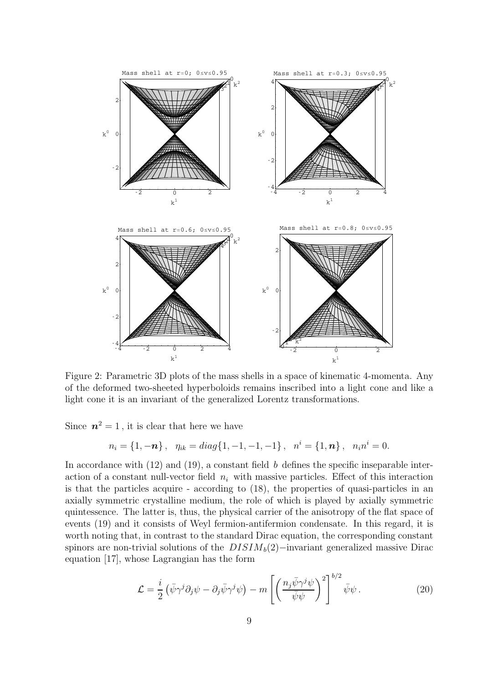

Figure 2: Parametric 3D plots of the mass shells in a space of kinematic 4-momenta. Any of the deformed two-sheeted hyperboloids remains inscribed into a light cone and like a light cone it is an invariant of the generalized Lorentz transformations.

Since  $n^2 = 1$ , it is clear that here we have

$$
n_i = \{1, -n\}, \quad \eta_{ik} = diag\{1, -1, -1, -1\}, \quad n^i = \{1, n\}, \quad n_i n^i = 0.
$$

In accordance with  $(12)$  and  $(19)$ , a constant field b defines the specific inseparable interaction of a constant null-vector field  $n_i$  with massive particles. Effect of this interaction is that the particles acquire - according to (18), the properties of quasi-particles in an axially symmetric crystalline medium, the role of which is played by axially symmetric quintessence. The latter is, thus, the physical carrier of the anisotropy of the flat space of events (19) and it consists of Weyl fermion-antifermion condensate. In this regard, it is worth noting that, in contrast to the standard Dirac equation, the corresponding constant spinors are non-trivial solutions of the  $DISIM_b(2)$ −invariant generalized massive Dirac equation [17], whose Lagrangian has the form

$$
\mathcal{L} = \frac{i}{2} \left( \bar{\psi} \gamma^j \partial_j \psi - \partial_j \bar{\psi} \gamma^j \psi \right) - m \left[ \left( \frac{n_j \bar{\psi} \gamma^j \psi}{\bar{\psi} \psi} \right)^2 \right]^{b/2} \bar{\psi} \psi . \tag{20}
$$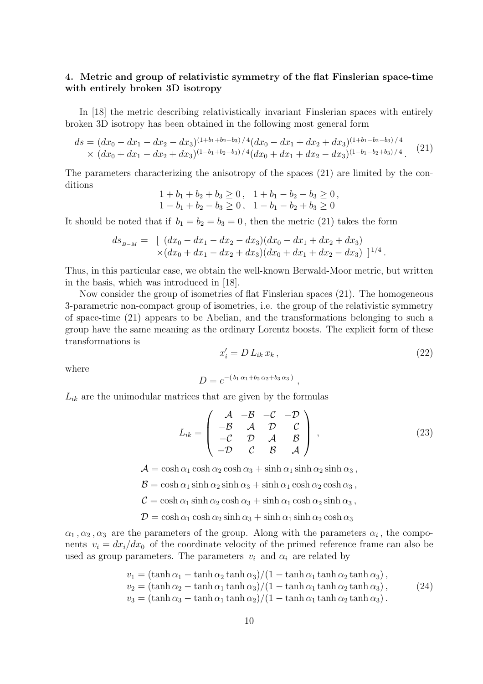### 4. Metric and group of relativistic symmetry of the flat Finslerian space-time with entirely broken 3D isotropy

In [18] the metric describing relativistically invariant Finslerian spaces with entirely broken 3D isotropy has been obtained in the following most general form

$$
ds = (dx_0 - dx_1 - dx_2 - dx_3)^{(1+b_1+b_2+b_3)/4} (dx_0 - dx_1 + dx_2 + dx_3)^{(1+b_1-b_2-b_3)/4}
$$
  
 
$$
\times (dx_0 + dx_1 - dx_2 + dx_3)^{(1-b_1+b_2-b_3)/4} (dx_0 + dx_1 + dx_2 - dx_3)^{(1-b_1-b_2+b_3)/4}.
$$
 (21)

The parameters characterizing the anisotropy of the spaces (21) are limited by the conditions

$$
1 + b_1 + b_2 + b_3 \ge 0, \quad 1 + b_1 - b_2 - b_3 \ge 0, 1 - b_1 + b_2 - b_3 \ge 0, \quad 1 - b_1 - b_2 + b_3 \ge 0
$$

It should be noted that if  $b_1 = b_2 = b_3 = 0$ , then the metric (21) takes the form

$$
ds_{B-M} = [ (dx_0 - dx_1 - dx_2 - dx_3)(dx_0 - dx_1 + dx_2 + dx_3)
$$
  
 
$$
\times (dx_0 + dx_1 - dx_2 + dx_3)(dx_0 + dx_1 + dx_2 - dx_3) ]^{1/4}.
$$

Thus, in this particular case, we obtain the well-known Berwald-Moor metric, but written in the basis, which was introduced in [18].

Now consider the group of isometries of flat Finslerian spaces (21). The homogeneous 3-parametric non-compact group of isometries, i.e. the group of the relativistic symmetry of space-time (21) appears to be Abelian, and the transformations belonging to such a group have the same meaning as the ordinary Lorentz boosts. The explicit form of these transformations is

$$
x_i' = D L_{ik} x_k, \qquad (22)
$$

where

$$
D = e^{-(b_1 \alpha_1 + b_2 \alpha_2 + b_3 \alpha_3)}
$$

 $L_{ik}$  are the unimodular matrices that are given by the formulas

$$
L_{ik} = \begin{pmatrix} A & -B & -C & -D \\ -B & A & D & C \\ -C & D & A & B \\ -D & C & B & A \end{pmatrix},
$$
 (23)

,

 $\mathcal{A} = \cosh \alpha_1 \cosh \alpha_2 \cosh \alpha_3 + \sinh \alpha_1 \sinh \alpha_2 \sinh \alpha_3$ ,

 $\mathcal{B} = \cosh \alpha_1 \sinh \alpha_2 \sinh \alpha_3 + \sinh \alpha_1 \cosh \alpha_2 \cosh \alpha_3,$ 

 $C = \cosh \alpha_1 \sinh \alpha_2 \cosh \alpha_3 + \sinh \alpha_1 \cosh \alpha_2 \sinh \alpha_3$ ,

 $\mathcal{D} = \cosh \alpha_1 \cosh \alpha_2 \sinh \alpha_3 + \sinh \alpha_1 \sinh \alpha_2 \cosh \alpha_3$ 

 $\alpha_1, \alpha_2, \alpha_3$  are the parameters of the group. Along with the parameters  $\alpha_i$ , the components  $v_i = dx_i/dx_0$  of the coordinate velocity of the primed reference frame can also be used as group parameters. The parameters  $v_i$  and  $\alpha_i$  are related by

$$
v_1 = (\tanh \alpha_1 - \tanh \alpha_2 \tanh \alpha_3)/(1 - \tanh \alpha_1 \tanh \alpha_2 \tanh \alpha_3),
$$
  
\n
$$
v_2 = (\tanh \alpha_2 - \tanh \alpha_1 \tanh \alpha_3)/(1 - \tanh \alpha_1 \tanh \alpha_2 \tanh \alpha_3),
$$
  
\n
$$
v_3 = (\tanh \alpha_3 - \tanh \alpha_1 \tanh \alpha_2)/(1 - \tanh \alpha_1 \tanh \alpha_2 \tanh \alpha_3).
$$
  
\n(24)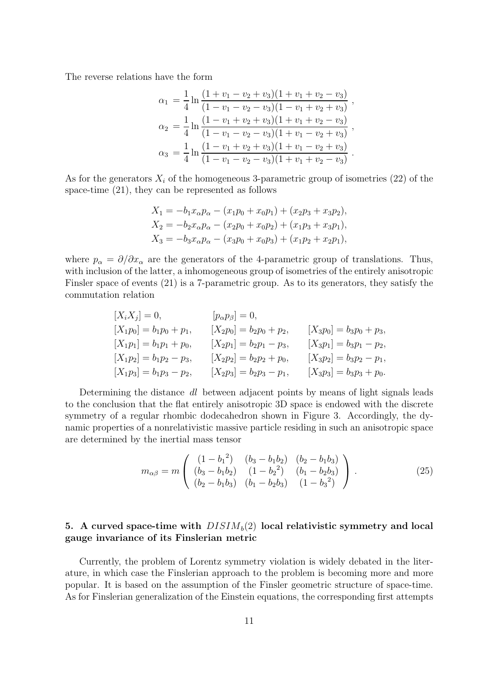The reverse relations have the form

$$
\alpha_1 = \frac{1}{4} \ln \frac{(1 + v_1 - v_2 + v_3)(1 + v_1 + v_2 - v_3)}{(1 - v_1 - v_2 - v_3)(1 - v_1 + v_2 + v_3)},
$$
  
\n
$$
\alpha_2 = \frac{1}{4} \ln \frac{(1 - v_1 + v_2 + v_3)(1 + v_1 + v_2 - v_3)}{(1 - v_1 - v_2 - v_3)(1 + v_1 - v_2 + v_3)},
$$
  
\n
$$
\alpha_3 = \frac{1}{4} \ln \frac{(1 - v_1 + v_2 + v_3)(1 + v_1 - v_2 + v_3)}{(1 - v_1 - v_2 - v_3)(1 + v_1 + v_2 - v_3)}.
$$

As for the generators  $X_i$  of the homogeneous 3-parametric group of isometries (22) of the space-time (21), they can be represented as follows

$$
X_1 = -b_1 x_\alpha p_\alpha - (x_1 p_0 + x_0 p_1) + (x_2 p_3 + x_3 p_2),
$$
  
\n
$$
X_2 = -b_2 x_\alpha p_\alpha - (x_2 p_0 + x_0 p_2) + (x_1 p_3 + x_3 p_1),
$$
  
\n
$$
X_3 = -b_3 x_\alpha p_\alpha - (x_3 p_0 + x_0 p_3) + (x_1 p_2 + x_2 p_1),
$$

where  $p_{\alpha} = \partial/\partial x_{\alpha}$  are the generators of the 4-parametric group of translations. Thus, with inclusion of the latter, a inhomogeneous group of isometries of the entirely anisotropic Finsler space of events (21) is a 7-parametric group. As to its generators, they satisfy the commutation relation

$$
[X_i X_j] = 0, \t [p_\alpha p_\beta] = 0,
$$
  
\n
$$
[X_1 p_0] = b_1 p_0 + p_1, \t [X_2 p_0] = b_2 p_0 + p_2, \t [X_3 p_0] = b_3 p_0 + p_3,
$$
  
\n
$$
[X_1 p_1] = b_1 p_1 + p_0, \t [X_2 p_1] = b_2 p_1 - p_3, \t [X_3 p_1] = b_3 p_1 - p_2,
$$
  
\n
$$
[X_1 p_2] = b_1 p_2 - p_3, \t [X_2 p_2] = b_2 p_2 + p_0, \t [X_3 p_2] = b_3 p_2 - p_1,
$$
  
\n
$$
[X_1 p_3] = b_1 p_3 - p_2, \t [X_2 p_3] = b_2 p_3 - p_1, \t [X_3 p_3] = b_3 p_3 + p_0.
$$

Determining the distance dl between adjacent points by means of light signals leads to the conclusion that the flat entirely anisotropic 3D space is endowed with the discrete symmetry of a regular rhombic dodecahedron shown in Figure 3. Accordingly, the dynamic properties of a nonrelativistic massive particle residing in such an anisotropic space are determined by the inertial mass tensor

$$
m_{\alpha\beta} = m \begin{pmatrix} (1 - b_1^2) & (b_3 - b_1 b_2) & (b_2 - b_1 b_3) \\ (b_3 - b_1 b_2) & (1 - b_2^2) & (b_1 - b_2 b_3) \\ (b_2 - b_1 b_3) & (b_1 - b_2 b_3) & (1 - b_3^2) \end{pmatrix} .
$$
 (25)

### 5. A curved space-time with  $DISIM_b(2)$  local relativistic symmetry and local gauge invariance of its Finslerian metric

Currently, the problem of Lorentz symmetry violation is widely debated in the literature, in which case the Finslerian approach to the problem is becoming more and more popular. It is based on the assumption of the Finsler geometric structure of space-time. As for Finslerian generalization of the Einstein equations, the corresponding first attempts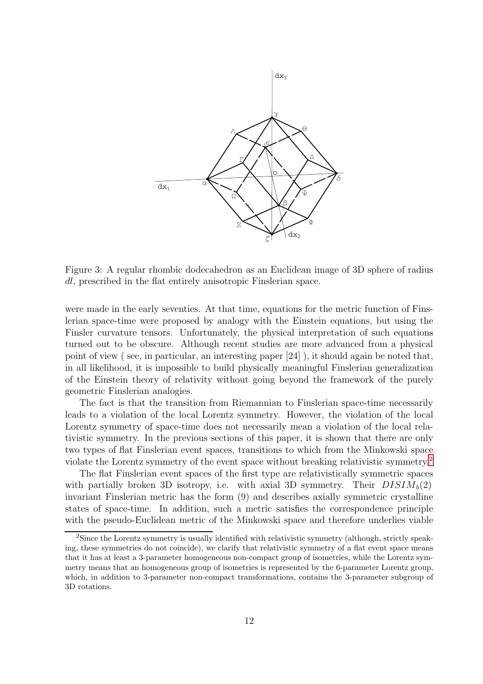

Figure 3: A regular rhombic dodecahedron as an Euclidean image of 3D sphere of radius dl, prescribed in the flat entirely anisotropic Finslerian space.

were made in the early seventies. At that time, equations for the metric function of Finslerian space-time were proposed by analogy with the Einstein equations, but using the Finsler curvature tensors. Unfortunately, the physical interpretation of such equations turned out to be obscure. Although recent studies are more advanced from a physical point of view ( see, in particular, an interesting paper [24] ), it should again be noted that, in all likelihood, it is impossible to build physically meaningful Finslerian generalization of the Einstein theory of relativity without going beyond the framework of the purely geometric Finslerian analogies.

The fact is that the transition from Riemannian to Finslerian space-time necessarily leads to a violation of the local Lorentz symmetry. However, the violation of the local Lorentz symmetry of space-time does not necessarily mean a violation of the local relativistic symmetry. In the previous sections of this paper, it is shown that there are only two types of flat Finslerian event spaces, transitions to which from the Minkowski space violate the Lorentz symmetry of the event space without breaking relativistic symmetry.[2](#page-11-0)

The flat Finslerian event spaces of the first type are relativistically symmetric spaces with partially broken 3D isotropy, i.e. with axial 3D symmetry. Their  $DISIM_b(2)$ invariant Finslerian metric has the form (9) and describes axially symmetric crystalline states of space-time. In addition, such a metric satisfies the correspondence principle with the pseudo-Euclidean metric of the Minkowski space and therefore underlies viable

<span id="page-11-0"></span><sup>2</sup>Since the Lorentz symmetry is usually identified with relativistic symmetry (although, strictly speaking, these symmetries do not coincide), we clarify that relativistic symmetry of a flat event space means that it has at least a 3-parameter homogeneous non-compact group of isometries, while the Lorentz symmetry means that an homogeneous group of isometries is represented by the 6-parameter Lorentz group, which, in addition to 3-parameter non-compact transformations, contains the 3-parameter subgroup of 3D rotations.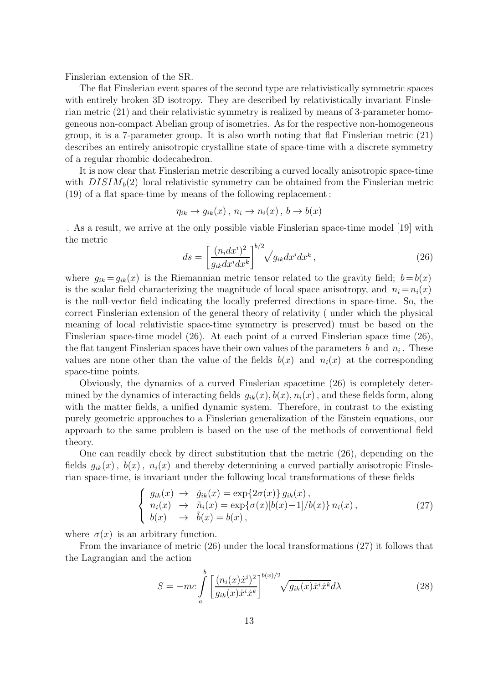Finslerian extension of the SR.

The flat Finslerian event spaces of the second type are relativistically symmetric spaces with entirely broken 3D isotropy. They are described by relativistically invariant Finslerian metric (21) and their relativistic symmetry is realized by means of 3-parameter homogeneous non-compact Abelian group of isometries. As for the respective non-homogeneous group, it is a 7-parameter group. It is also worth noting that flat Finslerian metric (21) describes an entirely anisotropic crystalline state of space-time with a discrete symmetry of a regular rhombic dodecahedron.

It is now clear that Finslerian metric describing a curved locally anisotropic space-time with  $DISIM<sub>b</sub>(2)$  local relativistic symmetry can be obtained from the Finslerian metric (19) of a flat space-time by means of the following replacement :

$$
\eta_{ik} \to g_{ik}(x), \ n_i \to n_i(x), \ b \to b(x)
$$

. As a result, we arrive at the only possible viable Finslerian space-time model [19] with the metric

$$
ds = \left[\frac{(n_i dx^i)^2}{g_{ik} dx^i dx^k}\right]^{b/2} \sqrt{g_{ik} dx^i dx^k},\tag{26}
$$

where  $g_{ik} = g_{ik}(x)$  is the Riemannian metric tensor related to the gravity field;  $b = b(x)$ is the scalar field characterizing the magnitude of local space anisotropy, and  $n_i = n_i(x)$ is the null-vector field indicating the locally preferred directions in space-time. So, the correct Finslerian extension of the general theory of relativity ( under which the physical meaning of local relativistic space-time symmetry is preserved) must be based on the Finslerian space-time model (26). At each point of a curved Finslerian space time (26), the flat tangent Finslerian spaces have their own values of the parameters  $b$  and  $n_i$ . These values are none other than the value of the fields  $b(x)$  and  $n<sub>i</sub>(x)$  at the corresponding space-time points.

Obviously, the dynamics of a curved Finslerian spacetime (26) is completely determined by the dynamics of interacting fields  $q_{ik}(x)$ ,  $b(x)$ ,  $n_i(x)$ , and these fields form, along with the matter fields, a unified dynamic system. Therefore, in contrast to the existing purely geometric approaches to a Finslerian generalization of the Einstein equations, our approach to the same problem is based on the use of the methods of conventional field theory.

One can readily check by direct substitution that the metric (26), depending on the fields  $g_{ik}(x)$ ,  $b(x)$ ,  $n_i(x)$  and thereby determining a curved partially anisotropic Finslerian space-time, is invariant under the following local transformations of these fields

$$
\begin{cases}\n g_{ik}(x) \rightarrow \tilde{g}_{ik}(x) = \exp\{2\sigma(x)\} g_{ik}(x), \n n_i(x) \rightarrow \tilde{n}_i(x) = \exp\{\sigma(x)[b(x)-1]/b(x)\} n_i(x), \n b(x) \rightarrow \tilde{b}(x) = b(x),\n\end{cases}
$$
\n(27)

where  $\sigma(x)$  is an arbitrary function.

From the invariance of metric (26) under the local transformations (27) it follows that the Lagrangian and the action

$$
S = -mc \int_{a}^{b} \left[ \frac{(n_i(x)\dot{x}^i)^2}{g_{ik}(x)\dot{x}^i \dot{x}^k} \right]^{b(x)/2} \sqrt{g_{ik}(x)\dot{x}^i \dot{x}^k} d\lambda \tag{28}
$$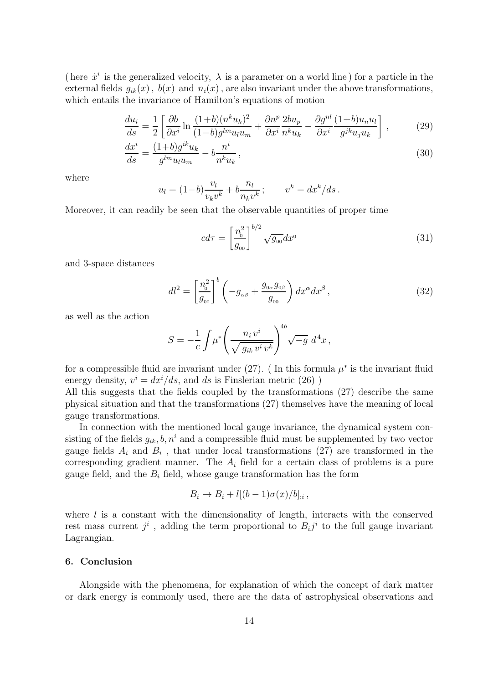(here  $\dot{x}^i$  is the generalized velocity,  $\lambda$  is a parameter on a world line) for a particle in the external fields  $g_{ik}(x)$ ,  $b(x)$  and  $n_i(x)$ , are also invariant under the above transformations, which entails the invariance of Hamilton's equations of motion

$$
\frac{du_i}{ds} = \frac{1}{2} \left[ \frac{\partial b}{\partial x^i} \ln \frac{(1+b)(n^k u_k)^2}{(1-b)g^{lm} u_l u_m} + \frac{\partial n^p}{\partial x^i} \frac{2bu_p}{n^k u_k} - \frac{\partial g^{nl}}{\partial x^i} \frac{(1+b)u_n u_l}{g^{jk} u_j u_k} \right],
$$
(29)

$$
\frac{dx^{i}}{ds} = \frac{(1+b)g^{ik}u_{k}}{g^{lm}u_{l}u_{m}} - b\frac{n^{i}}{n^{k}u_{k}},
$$
\n(30)

where

$$
u_l=(1-b)\frac{v_l}{v_kv^k}+b\frac{n_l}{n_kv^k}\,;\qquad v^k=dx^k/ds\,.
$$

Moreover, it can readily be seen that the observable quantities of proper time

$$
cd\tau = \left[\frac{n_0^2}{g_{00}}\right]^{b/2} \sqrt{g_{00}} dx^0
$$
\n(31)

and 3-space distances

$$
dl^2 = \left[\frac{n_o^2}{g_{00}}\right]^b \left(-g_{\alpha\beta} + \frac{g_{0\alpha}g_{0\beta}}{g_{00}}\right) dx^\alpha dx^\beta ,\qquad (32)
$$

as well as the action

$$
S = -\frac{1}{c} \int \mu^* \left( \frac{n_i v^i}{\sqrt{g_{ik} v^i v^k}} \right)^{4b} \sqrt{-g} d^4x,
$$

for a compressible fluid are invariant under  $(27)$ . (In this formula  $\mu^*$  is the invariant fluid energy density,  $v^i = dx^i/ds$ , and ds is Finslerian metric (26))

All this suggests that the fields coupled by the transformations (27) describe the same physical situation and that the transformations (27) themselves have the meaning of local gauge transformations.

In connection with the mentioned local gauge invariance, the dynamical system consisting of the fields  $g_{ik}$ ,  $b, n^i$  and a compressible fluid must be supplemented by two vector gauge fields  $A_i$  and  $B_i$ , that under local transformations (27) are transformed in the corresponding gradient manner. The  $A_i$  field for a certain class of problems is a pure gauge field, and the  $B_i$  field, whose gauge transformation has the form

$$
B_i \to B_i + l[(b-1)\sigma(x)/b]_{;i},
$$

where  $l$  is a constant with the dimensionality of length, interacts with the conserved rest mass current  $j^i$ , adding the term proportional to  $B_i j^i$  to the full gauge invariant Lagrangian.

#### 6. Conclusion

Alongside with the phenomena, for explanation of which the concept of dark matter or dark energy is commonly used, there are the data of astrophysical observations and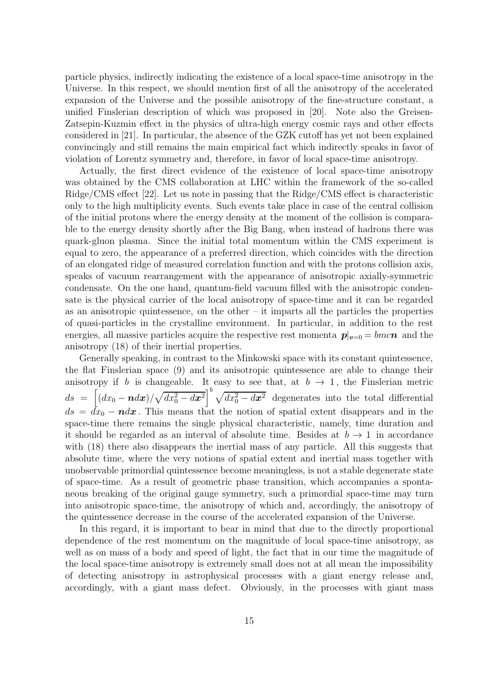particle physics, indirectly indicating the existence of a local space-time anisotropy in the Universe. In this respect, we should mention first of all the anisotropy of the accelerated expansion of the Universe and the possible anisotropy of the fine-structure constant, a unified Finslerian description of which was proposed in [20]. Note also the Greisen-Zatsepin-Kuzmin effect in the physics of ultra-high energy cosmic rays and other effects considered in [21]. In particular, the absence of the GZK cutoff has yet not been explained convincingly and still remains the main empirical fact which indirectly speaks in favor of violation of Lorentz symmetry and, therefore, in favor of local space-time anisotropy.

Actually, the first direct evidence of the existence of local space-time anisotropy was obtained by the CMS collaboration at LHC within the framework of the so-called Ridge/CMS effect [22]. Let us note in passing that the Ridge/CMS effect is characteristic only to the high multiplicity events. Such events take place in case of the central collision of the initial protons where the energy density at the moment of the collision is comparable to the energy density shortly after the Big Bang, when instead of hadrons there was quark-gluon plasma. Since the initial total momentum within the CMS experiment is equal to zero, the appearance of a preferred direction, which coincides with the direction of an elongated ridge of measured correlation function and with the protons collision axis, speaks of vacuum rearrangement with the appearance of anisotropic axially-symmetric condensate. On the one hand, quantum-field vacuum filled with the anisotropic condensate is the physical carrier of the local anisotropy of space-time and it can be regarded as an anisotropic quintessence, on the other – it imparts all the particles the properties of quasi-particles in the crystalline environment. In particular, in addition to the rest energies, all massive particles acquire the respective rest momenta  $p|_{v=0} = bmcn$  and the anisotropy (18) of their inertial properties.

Generally speaking, in contrast to the Minkowski space with its constant quintessence, the flat Finslerian space (9) and its anisotropic quintessence are able to change their anisotropy if b is changeable. It easy to see that, at  $b \to 1$ , the Finslerian metric  $ds = [(dx_0 - \boldsymbol{n} dx)/\sqrt{dx_0^2 - dx^2}]^b \sqrt{dx_0^2 - dx^2}$  degenerates into the total differential  $ds = dx_0 - ndx$ . This means that the notion of spatial extent disappears and in the space-time there remains the single physical characteristic, namely, time duration and it should be regarded as an interval of absolute time. Besides at  $b \to 1$  in accordance with  $(18)$  there also disappears the inertial mass of any particle. All this suggests that absolute time, where the very notions of spatial extent and inertial mass together with unobservable primordial quintessence become meaningless, is not a stable degenerate state of space-time. As a result of geometric phase transition, which accompanies a spontaneous breaking of the original gauge symmetry, such a primordial space-time may turn into anisotropic space-time, the anisotropy of which and, accordingly, the anisotropy of the quintessence decrease in the course of the accelerated expansion of the Universe.

In this regard, it is important to bear in mind that due to the directly proportional dependence of the rest momentum on the magnitude of local space-time anisotropy, as well as on mass of a body and speed of light, the fact that in our time the magnitude of the local space-time anisotropy is extremely small does not at all mean the impossibility of detecting anisotropy in astrophysical processes with a giant energy release and, accordingly, with a giant mass defect. Obviously, in the processes with giant mass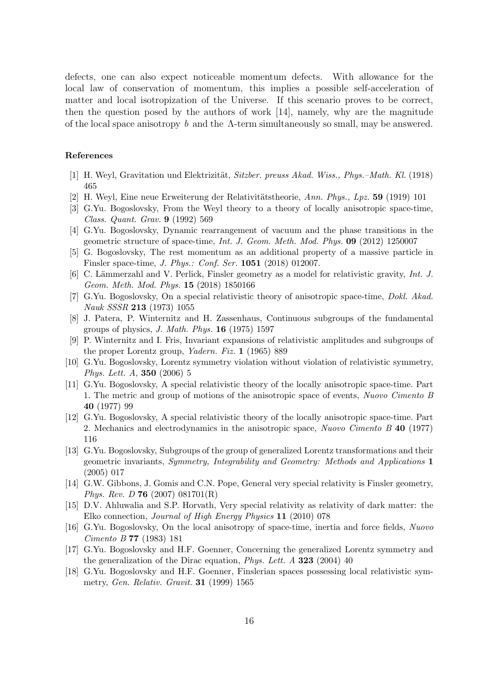defects, one can also expect noticeable momentum defects. With allowance for the local law of conservation of momentum, this implies a possible self-acceleration of matter and local isotropization of the Universe. If this scenario proves to be correct, then the question posed by the authors of work [14], namely, why are the magnitude of the local space anisotropy b and the  $\Lambda$ -term simultaneously so small, may be answered.

#### References

- [1] H. Weyl, Gravitation und Elektrizität, *Sitzber. preuss Akad. Wiss., Phys.–Math. Kl.* (1918) 465
- [2] H. Weyl, Eine neue Erweiterung der Relativitätstheorie, Ann. Phys., Lpz. 59 (1919) 101
- [3] G.Yu. Bogoslovsky, From the Weyl theory to a theory of locally anisotropic space-time, *Class. Quant. Grav.* 9 (1992) 569
- [4] G.Yu. Bogoslovsky, Dynamic rearrangement of vacuum and the phase transitions in the geometric structure of space-time, *Int. J. Geom. Meth. Mod. Phys.* 09 (2012) 1250007
- [5] G. Bogoslovsky, The rest momentum as an additional property of a massive particle in Finsler space-time, *J. Phys.: Conf. Ser.* 1051 (2018) 012007.
- [6] C. Lämmerzahl and V. Perlick, Finsler geometry as a model for relativistic gravity, *Int. J. Geom. Meth. Mod. Phys.* 15 (2018) 1850166
- [7] G.Yu. Bogoslovsky, On a special relativistic theory of anisotropic space-time, *Dokl. Akad. Nauk SSSR* 213 (1973) 1055
- [8] J. Patera, P. Winternitz and H. Zassenhaus, Continuous subgroups of the fundamental groups of physics, *J. Math. Phys.* 16 (1975) 1597
- [9] P. Winternitz and I. Fris, Invariant expansions of relativistic amplitudes and subgroups of the proper Lorentz group, *Yadern. Fiz.* 1 (1965) 889
- [10] G.Yu. Bogoslovsky, Lorentz symmetry violation without violation of relativistic symmetry, *Phys. Lett. A*, 350 (2006) 5
- [11] G.Yu. Bogoslovsky, A special relativistic theory of the locally anisotropic space-time. Part 1. The metric and group of motions of the anisotropic space of events, *Nuovo Cimento B* 40 (1977) 99
- [12] G.Yu. Bogoslovsky, A special relativistic theory of the locally anisotropic space-time. Part 2. Mechanics and electrodynamics in the anisotropic space, *Nuovo Cimento B* 40 (1977) 116
- [13] G.Yu. Bogoslovsky, Subgroups of the group of generalized Lorentz transformations and their geometric invariants, *Symmetry, Integrability and Geometry: Methods and Applications* 1 (2005) 017
- [14] G.W. Gibbons, J. Gomis and C.N. Pope, General very special relativity is Finsler geometry, *Phys. Rev. D* 76 (2007) 081701(R)
- [15] D.V. Ahluwalia and S.P. Horvath, Very special relativity as relativity of dark matter: the Elko connection, *Journal of High Energy Physics* 11 (2010) 078
- [16] G.Yu. Bogoslovsky, On the local anisotropy of space-time, inertia and force fields, *Nuovo Cimento B* 77 (1983) 181
- [17] G.Yu. Bogoslovsky and H.F. Goenner, Concerning the generalized Lorentz symmetry and the generalization of the Dirac equation, *Phys. Lett. A* 323 (2004) 40
- [18] G.Yu. Bogoslovsky and H.F. Goenner, Finslerian spaces possessing local relativistic symmetry, *Gen. Relativ. Gravit.* 31 (1999) 1565